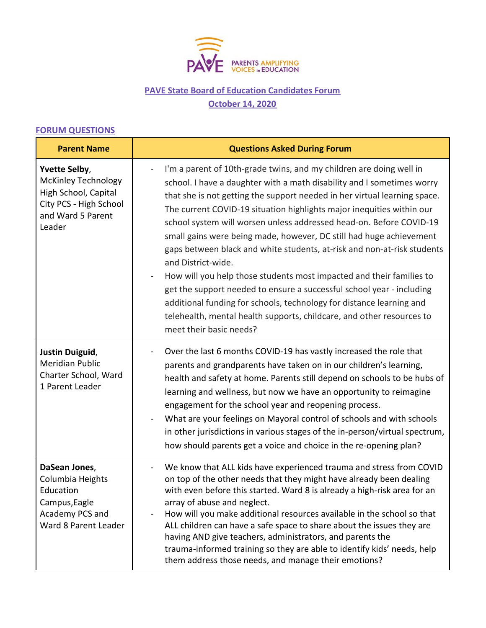

## **PAVE State Board of Education Candidates Forum October 14, 2020**

## **FORUM QUESTIONS**

| <b>Parent Name</b>                                                                                                           | <b>Questions Asked During Forum</b>                                                                                                                                                                                                                                                                                                                                                                                                                                                                                                                                                                                                                                                                                                                                                                                                                                             |  |
|------------------------------------------------------------------------------------------------------------------------------|---------------------------------------------------------------------------------------------------------------------------------------------------------------------------------------------------------------------------------------------------------------------------------------------------------------------------------------------------------------------------------------------------------------------------------------------------------------------------------------------------------------------------------------------------------------------------------------------------------------------------------------------------------------------------------------------------------------------------------------------------------------------------------------------------------------------------------------------------------------------------------|--|
| Yvette Selby,<br><b>McKinley Technology</b><br>High School, Capital<br>City PCS - High School<br>and Ward 5 Parent<br>Leader | I'm a parent of 10th-grade twins, and my children are doing well in<br>school. I have a daughter with a math disability and I sometimes worry<br>that she is not getting the support needed in her virtual learning space.<br>The current COVID-19 situation highlights major inequities within our<br>school system will worsen unless addressed head-on. Before COVID-19<br>small gains were being made, however, DC still had huge achievement<br>gaps between black and white students, at-risk and non-at-risk students<br>and District-wide.<br>How will you help those students most impacted and their families to<br>get the support needed to ensure a successful school year - including<br>additional funding for schools, technology for distance learning and<br>telehealth, mental health supports, childcare, and other resources to<br>meet their basic needs? |  |
| Justin Duiguid,<br><b>Meridian Public</b><br>Charter School, Ward<br>1 Parent Leader                                         | Over the last 6 months COVID-19 has vastly increased the role that<br>parents and grandparents have taken on in our children's learning,<br>health and safety at home. Parents still depend on schools to be hubs of<br>learning and wellness, but now we have an opportunity to reimagine<br>engagement for the school year and reopening process.<br>What are your feelings on Mayoral control of schools and with schools<br>in other jurisdictions in various stages of the in-person/virtual spectrum,<br>how should parents get a voice and choice in the re-opening plan?                                                                                                                                                                                                                                                                                                |  |
| DaSean Jones,<br>Columbia Heights<br>Education<br>Campus, Eagle<br>Academy PCS and<br>Ward 8 Parent Leader                   | We know that ALL kids have experienced trauma and stress from COVID<br>on top of the other needs that they might have already been dealing<br>with even before this started. Ward 8 is already a high-risk area for an<br>array of abuse and neglect.<br>How will you make additional resources available in the school so that<br>ALL children can have a safe space to share about the issues they are<br>having AND give teachers, administrators, and parents the<br>trauma-informed training so they are able to identify kids' needs, help<br>them address those needs, and manage their emotions?                                                                                                                                                                                                                                                                        |  |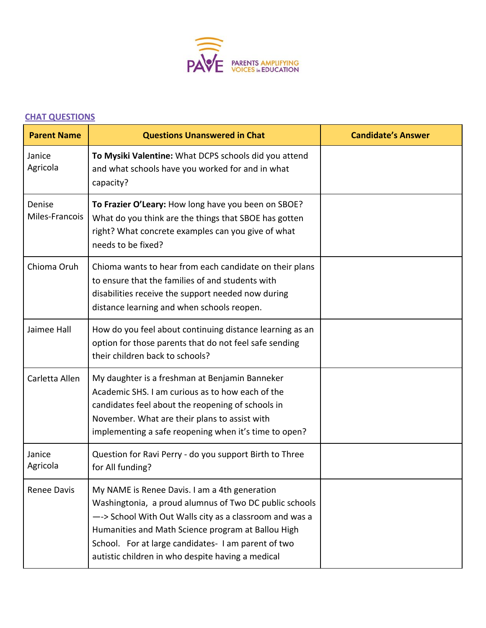

## **CHAT QUESTIONS**

| <b>Parent Name</b>       | <b>Questions Unanswered in Chat</b>                                                                                                                                                                                                                                                                                                 | <b>Candidate's Answer</b> |
|--------------------------|-------------------------------------------------------------------------------------------------------------------------------------------------------------------------------------------------------------------------------------------------------------------------------------------------------------------------------------|---------------------------|
| Janice<br>Agricola       | To Mysiki Valentine: What DCPS schools did you attend<br>and what schools have you worked for and in what<br>capacity?                                                                                                                                                                                                              |                           |
| Denise<br>Miles-Francois | To Frazier O'Leary: How long have you been on SBOE?<br>What do you think are the things that SBOE has gotten<br>right? What concrete examples can you give of what<br>needs to be fixed?                                                                                                                                            |                           |
| Chioma Oruh              | Chioma wants to hear from each candidate on their plans<br>to ensure that the families of and students with<br>disabilities receive the support needed now during<br>distance learning and when schools reopen.                                                                                                                     |                           |
| Jaimee Hall              | How do you feel about continuing distance learning as an<br>option for those parents that do not feel safe sending<br>their children back to schools?                                                                                                                                                                               |                           |
| Carletta Allen           | My daughter is a freshman at Benjamin Banneker<br>Academic SHS. I am curious as to how each of the<br>candidates feel about the reopening of schools in<br>November. What are their plans to assist with<br>implementing a safe reopening when it's time to open?                                                                   |                           |
| Janice<br>Agricola       | Question for Ravi Perry - do you support Birth to Three<br>for All funding?                                                                                                                                                                                                                                                         |                           |
| Renee Davis              | My NAME is Renee Davis. I am a 4th generation<br>Washingtonia, a proud alumnus of Two DC public schools<br>--> School With Out Walls city as a classroom and was a<br>Humanities and Math Science program at Ballou High<br>School. For at large candidates-I am parent of two<br>autistic children in who despite having a medical |                           |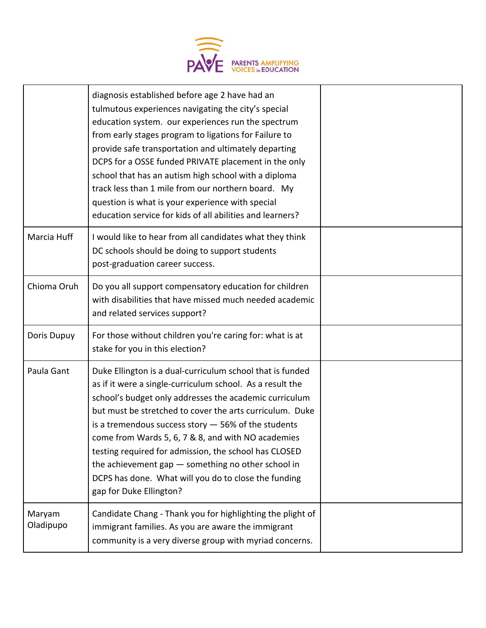

|                     | diagnosis established before age 2 have had an<br>tulmutous experiences navigating the city's special<br>education system. our experiences run the spectrum<br>from early stages program to ligations for Failure to<br>provide safe transportation and ultimately departing<br>DCPS for a OSSE funded PRIVATE placement in the only<br>school that has an autism high school with a diploma<br>track less than 1 mile from our northern board. My<br>question is what is your experience with special<br>education service for kids of all abilities and learners? |  |
|---------------------|---------------------------------------------------------------------------------------------------------------------------------------------------------------------------------------------------------------------------------------------------------------------------------------------------------------------------------------------------------------------------------------------------------------------------------------------------------------------------------------------------------------------------------------------------------------------|--|
| Marcia Huff         | I would like to hear from all candidates what they think<br>DC schools should be doing to support students<br>post-graduation career success.                                                                                                                                                                                                                                                                                                                                                                                                                       |  |
| Chioma Oruh         | Do you all support compensatory education for children<br>with disabilities that have missed much needed academic<br>and related services support?                                                                                                                                                                                                                                                                                                                                                                                                                  |  |
| Doris Dupuy         | For those without children you're caring for: what is at<br>stake for you in this election?                                                                                                                                                                                                                                                                                                                                                                                                                                                                         |  |
| Paula Gant          | Duke Ellington is a dual-curriculum school that is funded<br>as if it were a single-curriculum school. As a result the<br>school's budget only addresses the academic curriculum<br>but must be stretched to cover the arts curriculum. Duke<br>is a tremendous success story $-$ 56% of the students<br>come from Wards 5, 6, 7 & 8, and with NO academies<br>testing required for admission, the school has CLOSED<br>the achievement gap - something no other school in<br>DCPS has done. What will you do to close the funding<br>gap for Duke Ellington?       |  |
| Maryam<br>Oladipupo | Candidate Chang - Thank you for highlighting the plight of<br>immigrant families. As you are aware the immigrant<br>community is a very diverse group with myriad concerns.                                                                                                                                                                                                                                                                                                                                                                                         |  |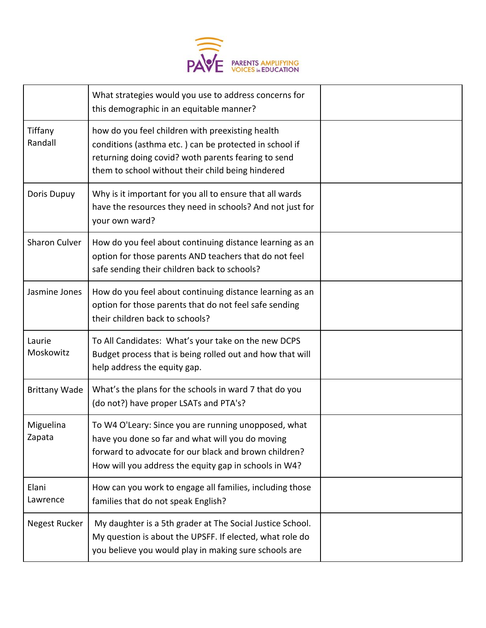

|                      | What strategies would you use to address concerns for<br>this demographic in an equitable manner?                                                                                                                          |  |
|----------------------|----------------------------------------------------------------------------------------------------------------------------------------------------------------------------------------------------------------------------|--|
| Tiffany<br>Randall   | how do you feel children with preexisting health<br>conditions (asthma etc.) can be protected in school if<br>returning doing covid? woth parents fearing to send<br>them to school without their child being hindered     |  |
| Doris Dupuy          | Why is it important for you all to ensure that all wards<br>have the resources they need in schools? And not just for<br>your own ward?                                                                                    |  |
| Sharon Culver        | How do you feel about continuing distance learning as an<br>option for those parents AND teachers that do not feel<br>safe sending their children back to schools?                                                         |  |
| Jasmine Jones        | How do you feel about continuing distance learning as an<br>option for those parents that do not feel safe sending<br>their children back to schools?                                                                      |  |
| Laurie<br>Moskowitz  | To All Candidates: What's your take on the new DCPS<br>Budget process that is being rolled out and how that will<br>help address the equity gap.                                                                           |  |
| <b>Brittany Wade</b> | What's the plans for the schools in ward 7 that do you<br>(do not?) have proper LSATs and PTA's?                                                                                                                           |  |
| Miguelina<br>Zapata  | To W4 O'Leary: Since you are running unopposed, what<br>have you done so far and what will you do moving<br>forward to advocate for our black and brown children?<br>How will you address the equity gap in schools in W4? |  |
| Elani<br>Lawrence    | How can you work to engage all families, including those<br>families that do not speak English?                                                                                                                            |  |
| Negest Rucker        | My daughter is a 5th grader at The Social Justice School.<br>My question is about the UPSFF. If elected, what role do<br>you believe you would play in making sure schools are                                             |  |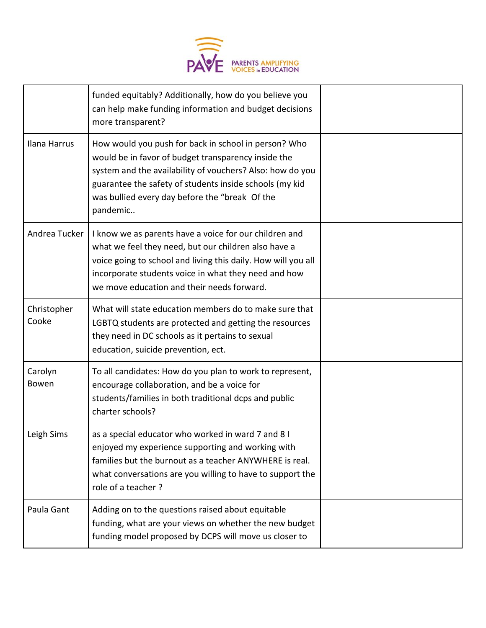

|                      | funded equitably? Additionally, how do you believe you<br>can help make funding information and budget decisions<br>more transparent?                                                                                                                                                             |  |
|----------------------|---------------------------------------------------------------------------------------------------------------------------------------------------------------------------------------------------------------------------------------------------------------------------------------------------|--|
| Ilana Harrus         | How would you push for back in school in person? Who<br>would be in favor of budget transparency inside the<br>system and the availability of vouchers? Also: how do you<br>guarantee the safety of students inside schools (my kid<br>was bullied every day before the "break Of the<br>pandemic |  |
| Andrea Tucker        | I know we as parents have a voice for our children and<br>what we feel they need, but our children also have a<br>voice going to school and living this daily. How will you all<br>incorporate students voice in what they need and how<br>we move education and their needs forward.             |  |
| Christopher<br>Cooke | What will state education members do to make sure that<br>LGBTQ students are protected and getting the resources<br>they need in DC schools as it pertains to sexual<br>education, suicide prevention, ect.                                                                                       |  |
| Carolyn<br>Bowen     | To all candidates: How do you plan to work to represent,<br>encourage collaboration, and be a voice for<br>students/families in both traditional dcps and public<br>charter schools?                                                                                                              |  |
| Leigh Sims           | as a special educator who worked in ward 7 and 8 I<br>enjoyed my experience supporting and working with<br>families but the burnout as a teacher ANYWHERE is real.<br>what conversations are you willing to have to support the<br>role of a teacher?                                             |  |
| Paula Gant           | Adding on to the questions raised about equitable<br>funding, what are your views on whether the new budget<br>funding model proposed by DCPS will move us closer to                                                                                                                              |  |